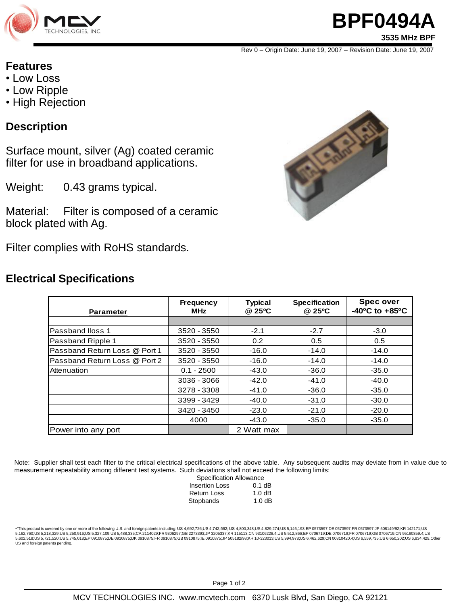

# **BPF0494A**

**3535 MHz BPF**

Rev 0 – Origin Date: June 19, 2007 – Revision Date: June 19, 2007

#### **Features**

- Low Loss
- Low Ripple
- High Rejection

### **Description**

Surface mount, silver (Ag) coated ceramic filter for use in broadband applications.

Weight: 0.43 grams typical.

Material: Filter is composed of a ceramic block plated with Ag.

Filter complies with RoHS standards.

### **Electrical Specifications**



| <b>Parameter</b>              | <b>Frequency</b><br><b>MHz</b> | <b>Typical</b><br>@ 25°C | <b>Specification</b><br>@ 25°C | <b>Spec over</b><br>$-40^{\circ}$ C to $+85^{\circ}$ C |
|-------------------------------|--------------------------------|--------------------------|--------------------------------|--------------------------------------------------------|
|                               |                                |                          |                                |                                                        |
| Passband Iloss 1              | 3520 - 3550                    | $-2.1$                   | $-2.7$                         | $-3.0$                                                 |
| Passband Ripple 1             | 3520 - 3550                    | 0.2                      | 0.5                            | 0.5                                                    |
| Passband Return Loss @ Port 1 | 3520 - 3550                    | $-16.0$                  | $-14.0$                        | $-14.0$                                                |
| Passband Return Loss @ Port 2 | 3520 - 3550                    | $-16.0$                  | $-14.0$                        | $-14.0$                                                |
| Attenuation                   | $0.1 - 2500$                   | $-43.0$                  | $-36.0$                        | $-35.0$                                                |
|                               | 3036 - 3066                    | $-42.0$                  | $-41.0$                        | $-40.0$                                                |
|                               | 3278 - 3308                    | $-41.0$                  | $-36.0$                        | $-35.0$                                                |
|                               | 3399 - 3429                    | $-40.0$                  | $-31.0$                        | $-30.0$                                                |
|                               | 3420 - 3450                    | $-23.0$                  | $-21.0$                        | $-20.0$                                                |
|                               | 4000                           | $-43.0$                  | $-35.0$                        | $-35.0$                                                |
| Power into any port           |                                | 2 Watt max               |                                |                                                        |

Note: Supplier shall test each filter to the critical electrical specifications of the above table. Any subsequent audits may deviate from in value due to measurement repeatability among different test systems. Such deviations shall not exceed the following limits:

| <b>Specification Allowance</b> |          |  |
|--------------------------------|----------|--|
| <b>Insertion Loss</b>          | $0.1$ dB |  |
| <b>Return Loss</b>             | 1.0dB    |  |
| Stopbands                      | 1.0dB    |  |

•"This product is covered by one or more of the following U.S. and foreign patents including: US 4,692,726;US 4,742,562; US 4,800,348;US 4,829,274;US 5,146,193;EP 0573597;DE 0573597;FR 0573597;JP 508149/92;KR 142171;US 5,162,760;US 5,218,329;US 5,250,916;US 5,327,109;US 5,488,335;CA 2114029;FR 9306297;GB 2273393;JP 3205337;KR 115113;CN 93106228.4;US 5,512,866;EP 0706719;DE 0706719;FR 0706719;GB 0706719;CB 0706719;CB 0706719;CN 95190359.4 US and foreign patents pending.